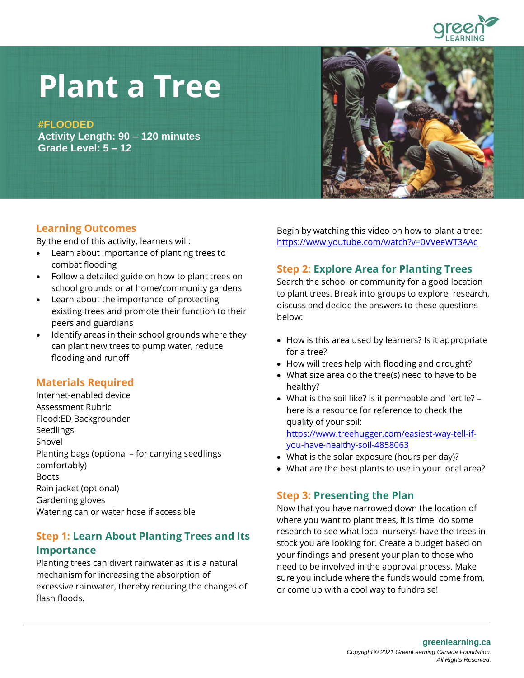

# **Plant a Tree**

**#FLOODED**

**Activity Length: 90 – 120 minutes Grade Level: 5 – 12** 



#### **Learning Outcomes**

By the end of this activity, learners will:

- Learn about importance of planting trees to combat flooding
- Follow a detailed guide on how to plant trees on school grounds or at home/community gardens
- Learn about the importance of protecting existing trees and promote their function to their peers and guardians
- Identify areas in their school grounds where they can plant new trees to pump water, reduce flooding and runoff

# **Materials Required**

Internet-enabled device Assessment Rubric Flood:ED Backgrounder Seedlings Shovel Planting bags (optional – for carrying seedlings comfortably) Boots Rain jacket (optional) Gardening gloves Watering can or water hose if accessible

### **Step 1: Learn About Planting Trees and Its**

#### **Importance**

Planting trees can divert rainwater as it is a natural mechanism for increasing the absorption of excessive rainwater, thereby reducing the changes of flash floods.

Begin by watching this video on how to plant a tree: <https://www.youtube.com/watch?v=0VVeeWT3AAc>

### **Step 2: Explore Area for Planting Trees**

Search the school or community for a good location to plant trees. Break into groups to explore, research, discuss and decide the answers to these questions below:

- How is this area used by learners? Is it appropriate for a tree?
- How will trees help with flooding and drought?
- What size area do the tree(s) need to have to be healthy?
- What is the soil like? Is it permeable and fertile? here is a resource for reference to check the quality of your soil: [https://www.treehugger.com/easiest-way-tell-if](https://www.treehugger.com/easiest-way-tell-if-you-have-healthy-soil-4858063)[you-have-healthy-soil-4858063](https://www.treehugger.com/easiest-way-tell-if-you-have-healthy-soil-4858063)
- What is the solar exposure (hours per day)?
- What are the best plants to use in your local area?

### **Step 3: Presenting the Plan**

Now that you have narrowed down the location of where you want to plant trees, it is time do some research to see what local nurserys have the trees in stock you are looking for. Create a budget based on your findings and present your plan to those who need to be involved in the approval process. Make sure you include where the funds would come from, or come up with a cool way to fundraise!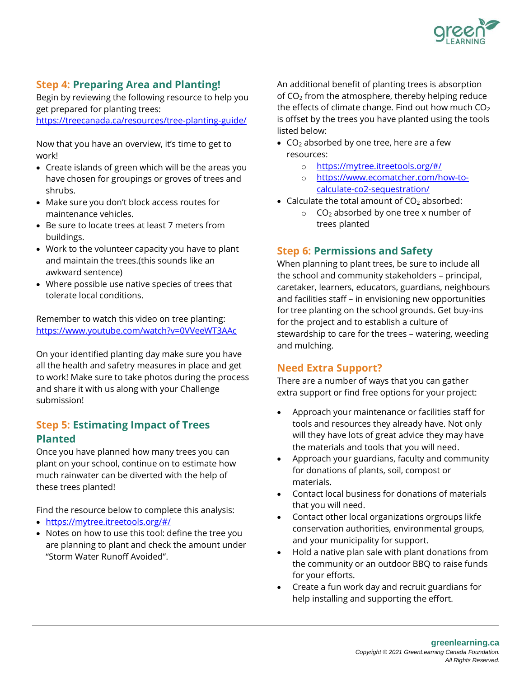

# **Step 4: Preparing Area and Planting!**

Begin by reviewing the following resource to help you get prepared for planting trees: https://treecanada.ca/resources/tree-planting-guide/

Now that you have an overview, it's time to get to work!

- Create islands of green which will be the areas you have chosen for groupings or groves of trees and shrubs.
- Make sure you don't block access routes for maintenance vehicles.
- Be sure to locate trees at least 7 meters from buildings.
- Work to the volunteer capacity you have to plant and maintain the trees.(this sounds like an awkward sentence)
- Where possible use native species of trees that tolerate local conditions.

Remember to watch this video on tree planting: https://www.youtube.com/watch?v=0VVeeWT3AAc

On your identified planting day make sure you have all the health and safetry measures in place and get to work! Make sure to take photos during the process and share it with us along with your Challenge submission!

### **Step 5: Estimating Impact of Trees Planted**

Once you have planned how many trees you can plant on your school, continue on to estimate how much rainwater can be diverted with the help of these trees planted!

Find the resource below to complete this analysis:

- https://mytree.itreetools.org/#/
- Notes on how to use this tool: define the tree you are planning to plant and check the amount under "Storm Water Runoff Avoided".

An additional benefit of planting trees is absorption of  $CO<sub>2</sub>$  from the atmosphere, thereby helping reduce the effects of climate change. Find out how much  $CO<sub>2</sub>$ is offset by the trees you have planted using the tools listed below:

- $CO<sub>2</sub>$  absorbed by one tree, here are a few resources:
	- o <https://mytree.itreetools.org/#/>
	- o [https://www.ecomatcher.com/how-to](https://www.ecomatcher.com/how-to-calculate-co2-sequestration/)[calculate-co2-sequestration/](https://www.ecomatcher.com/how-to-calculate-co2-sequestration/)
- Calculate the total amount of  $CO<sub>2</sub>$  absorbed:
	- $\circ$  CO<sub>2</sub> absorbed by one tree x number of trees planted

#### **Step 6: Permissions and Safety**

When planning to plant trees, be sure to include all the school and community stakeholders – principal, caretaker, learners, educators, guardians, neighbours and facilities staff – in envisioning new opportunities for tree planting on the school grounds. Get buy-ins for the project and to establish a culture of stewardship to care for the trees – watering, weeding and mulching.

### **Need Extra Support?**

There are a number of ways that you can gather extra support or find free options for your project:

- Approach your maintenance or facilities staff for tools and resources they already have. Not only will they have lots of great advice they may have the materials and tools that you will need.
- Approach your guardians, faculty and community for donations of plants, soil, compost or materials.
- Contact local business for donations of materials that you will need.
- Contact other local organizations orgroups likfe conservation authorities, environmental groups, and your municipality for support.
- Hold a native plan sale with plant donations from the community or an outdoor BBQ to raise funds for your efforts.
- Create a fun work day and recruit guardians for help installing and supporting the effort.